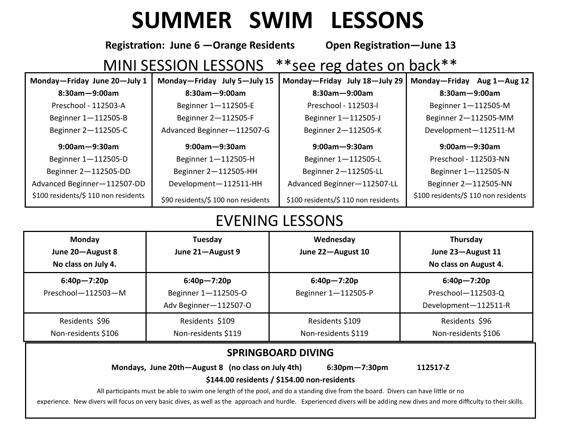## **SUMMER SWIM LESSONS**

**Registration: June 6 —Orange Residents Open Registration—June 13** 

## MINI SESSION LESSONS \*\* see reg dates on back \*\*

| Monday-Friday June 20-July 1 | Monday-Friday July 5-July 15 | Monday-Friday July 18-July 29 | Monday-Friday Aug 1-Aug 12 |
|------------------------------|------------------------------|-------------------------------|----------------------------|
| $8:30$ am $-9:00$ am         | $8:30$ am $-9:00$ am         | $8:30$ am $-9:00$ am          | $8:30$ am $-9:00$ am       |
| Preschool - 112503-A         | Beginner 1-112505-E          | Preschool - 112503-I          | Beginner 1-112505-M        |
| Beginner 1-112505-B          | Beginner 2-112505-F          | Beginner 1-112505-J           | Beginner 2-112505-MM       |
| Beginner 2-112505-C          | Advanced Beginner-112507-G   | Beginner 2-112505-K           | Development-112511-M       |
|                              |                              |                               |                            |
| $9:00$ am $-9:30$ am         | $9:00$ am $-9:30$ am         | $9:00$ am $-9:30$ am          | $9:00$ am $-9:30$ am       |
| Beginner 1-112505-D          | Beginner 1-112505-H          | Beginner 1-112505-L           | Preschool - 112503-NN      |
| Beginner 2-112505-DD         | Beginner 2-112505-HH         | Beginner 2-112505-LL          | Beginner 1-112505-N        |
| Advanced Beginner-112507-DD  | Development-112511-HH        | Advanced Beginner-112507-LL   | Beginner 2-112505-NN       |

## EVENING LESSONS

| <b>Monday</b><br>June 20-August 8<br>No class on July 4. | Tuesday<br>June 21-August 9                                     | Wednesday<br>June 22-August 10         | Thursday<br>June 23-August 11<br>No class on August 4.        |
|----------------------------------------------------------|-----------------------------------------------------------------|----------------------------------------|---------------------------------------------------------------|
| $6:40p - 7:20p$<br>Preschool-112503-M                    | $6:40p - 7:20p$<br>Beginner 1-112505-O<br>Adv Beginner-112507-O | $6:40p - 7:20p$<br>Beginner 1-112505-P | $6:40p - 7:20p$<br>Preschool-112503-Q<br>Development-112511-R |
| Residents \$96<br>Non-residents \$106                    | Residents \$109<br>Non-residents \$119                          | Residents \$109<br>Non-residents \$119 | Residents \$96<br>Non-residents \$106                         |

## **SPRINGBOARD DIVING**

**Mondays, June 20th—August 8 (no class on July 4th) 6:30pm—7:30pm 112517-Z** 

**\$144.00 residents / \$154.00 non-residents** All participants must be able to swim one length of the pool, and do a standing dive from the board. Divers can have little or no

experience. New divers will focus on very basic dives, as well as the approach and hurdle. Experienced divers will be adding new dives and more difficulty to their skills.